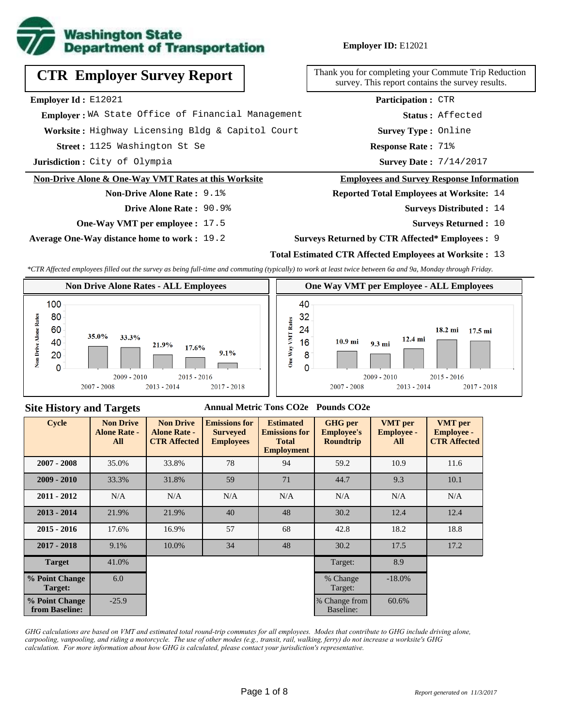

# **CTR Employer Survey Report**

**Employer Id :** E12021

 **Employer :** WA State Office of Financial Management

**Worksite :** Highway Licensing Bldg & Capitol Court

1125 Washington St Se **Response Rate : Street :**

**Jurisdiction :** City of Olympia

#### **Non-Drive Alone & One-Way VMT Rates at this Worksite**

**Non-Drive Alone Rate :** 9.1% **Drive Alone Rate :** 90.9%

**One-Way VMT per employee :** 17.5

**Average One-Way distance home to work :** 19.2

Thank you for completing your Commute Trip Reduction survey. This report contains the survey results.

> **Survey Type :** Online **Status :** Affected **Participation :** CTR

Response Rate: 71%

Survey Date: 7/14/2017

#### **Employees and Survey Response Information**

**Reported Total Employees at Worksite:** 14

- Surveys Distributed : 14
	- **Surveys Returned :** 10

#### **Surveys Returned by CTR Affected\* Employees :** 9

### **Total Estimated CTR Affected Employees at Worksite :** 13

*\*CTR Affected employees filled out the survey as being full-time and commuting (typically) to work at least twice between 6a and 9a, Monday through Friday.*



### **Site History and Targets**

#### **Annual Metric Tons CO2e Pounds CO2e**

| <b>Cycle</b>                     | <b>Non Drive</b><br><b>Alone Rate -</b><br>All | <b>Non Drive</b><br><b>Alone Rate -</b><br><b>CTR Affected</b> | <b>Emissions for</b><br><b>Surveyed</b><br><b>Employees</b> | <b>Estimated</b><br><b>Emissions for</b><br><b>Total</b><br><b>Employment</b> | <b>GHG</b> per<br><b>Employee's</b><br><b>Roundtrip</b> | <b>VMT</b> per<br><b>Employee -</b><br>All | <b>VMT</b> per<br><b>Employee -</b><br><b>CTR Affected</b> |
|----------------------------------|------------------------------------------------|----------------------------------------------------------------|-------------------------------------------------------------|-------------------------------------------------------------------------------|---------------------------------------------------------|--------------------------------------------|------------------------------------------------------------|
| $2007 - 2008$                    | 35.0%                                          | 33.8%                                                          | 78                                                          | 94                                                                            | 59.2                                                    | 10.9                                       | 11.6                                                       |
| $2009 - 2010$                    | 33.3%                                          | 31.8%                                                          | 59                                                          | 71                                                                            | 44.7                                                    | 9.3                                        | 10.1                                                       |
| $2011 - 2012$                    | N/A                                            | N/A                                                            | N/A                                                         | N/A                                                                           | N/A                                                     | N/A                                        | N/A                                                        |
| $2013 - 2014$                    | 21.9%                                          | 21.9%                                                          | 40                                                          | 48                                                                            | 30.2                                                    | 12.4                                       | 12.4                                                       |
| $2015 - 2016$                    | 17.6%                                          | 16.9%                                                          | 57                                                          | 68                                                                            | 42.8                                                    | 18.2                                       | 18.8                                                       |
| $2017 - 2018$                    | 9.1%                                           | 10.0%                                                          | 34                                                          | 48                                                                            | 30.2                                                    | 17.5                                       | 17.2                                                       |
| <b>Target</b>                    | 41.0%                                          |                                                                |                                                             |                                                                               | Target:                                                 | 8.9                                        |                                                            |
| % Point Change<br>Target:        | 6.0                                            |                                                                |                                                             |                                                                               | % Change<br>Target:                                     | $-18.0\%$                                  |                                                            |
| % Point Change<br>from Baseline: | $-25.9$                                        |                                                                |                                                             |                                                                               | % Change from<br>Baseline:                              | 60.6%                                      |                                                            |

*GHG calculations are based on VMT and estimated total round-trip commutes for all employees. Modes that contribute to GHG include driving alone, carpooling, vanpooling, and riding a motorcycle. The use of other modes (e.g., transit, rail, walking, ferry) do not increase a worksite's GHG calculation. For more information about how GHG is calculated, please contact your jurisdiction's representative.*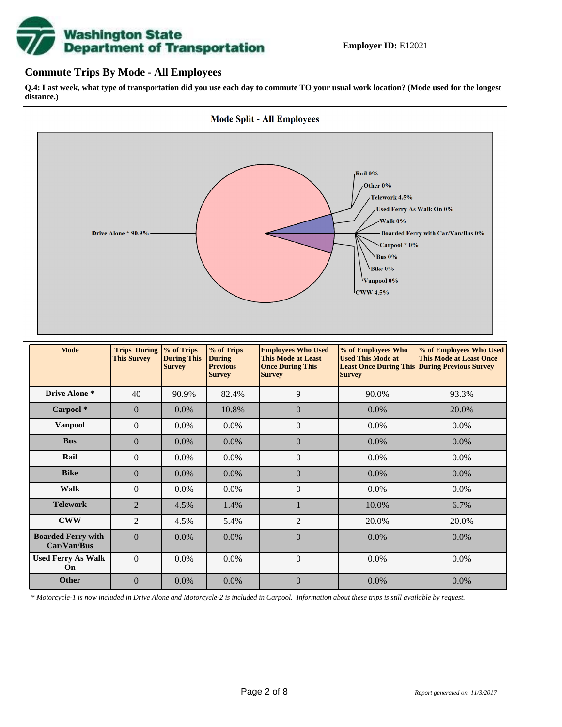

### **Commute Trips By Mode - All Employees**

**Q.4: Last week, what type of transportation did you use each day to commute TO your usual work location? (Mode used for the longest distance.)**



*\* Motorcycle-1 is now included in Drive Alone and Motorcycle-2 is included in Carpool. Information about these trips is still available by request.*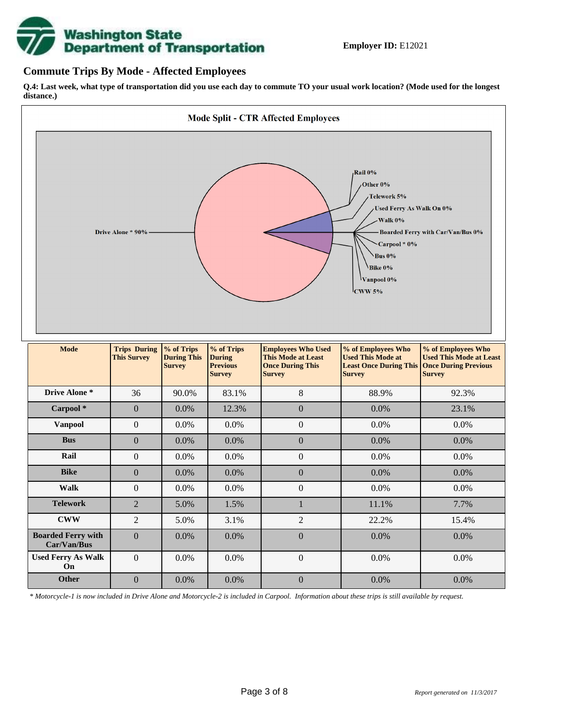

## **Commute Trips By Mode - Affected Employees**

**Q.4: Last week, what type of transportation did you use each day to commute TO your usual work location? (Mode used for the longest distance.)**



*\* Motorcycle-1 is now included in Drive Alone and Motorcycle-2 is included in Carpool. Information about these trips is still available by request.*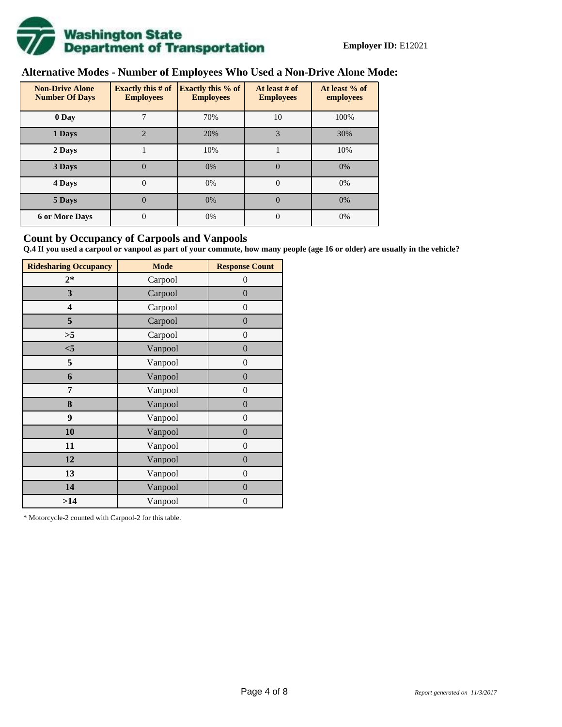

## **Alternative Modes - Number of Employees Who Used a Non-Drive Alone Mode:**

| <b>Non-Drive Alone</b><br><b>Number Of Days</b> | <b>Exactly this # of</b><br><b>Employees</b> | <b>Exactly this % of</b><br><b>Employees</b> | At least # of<br><b>Employees</b> | At least % of<br>employees |  |  |
|-------------------------------------------------|----------------------------------------------|----------------------------------------------|-----------------------------------|----------------------------|--|--|
| 0 Day                                           |                                              | 70%                                          | 10                                | 100%                       |  |  |
| 1 Days                                          | $\overline{2}$                               | 20%                                          | 3                                 | 30%                        |  |  |
| 2 Days                                          |                                              | 10%                                          |                                   | 10%                        |  |  |
| 3 Days                                          | $\overline{0}$                               | 0%                                           | $\Omega$                          | 0%                         |  |  |
| 4 Days                                          | $\Omega$                                     | 0%                                           | $\Omega$                          | 0%                         |  |  |
| 5 Days                                          | 0                                            | 0%                                           | $\theta$                          | 0%                         |  |  |
| <b>6 or More Days</b>                           | $\theta$                                     | 0%                                           | $\Omega$                          | 0%                         |  |  |

## **Count by Occupancy of Carpools and Vanpools**

**Q.4 If you used a carpool or vanpool as part of your commute, how many people (age 16 or older) are usually in the vehicle?**

| <b>Ridesharing Occupancy</b> | <b>Mode</b> | <b>Response Count</b> |
|------------------------------|-------------|-----------------------|
| $2*$                         | Carpool     | 0                     |
| 3                            | Carpool     | $\overline{0}$        |
| 4                            | Carpool     | $\boldsymbol{0}$      |
| 5                            | Carpool     | $\boldsymbol{0}$      |
| >5                           | Carpool     | $\overline{0}$        |
| $<$ 5                        | Vanpool     | $\overline{0}$        |
| 5                            | Vanpool     | $\overline{0}$        |
| 6                            | Vanpool     | $\boldsymbol{0}$      |
| 7                            | Vanpool     | $\overline{0}$        |
| 8                            | Vanpool     | $\boldsymbol{0}$      |
| 9                            | Vanpool     | $\overline{0}$        |
| 10                           | Vanpool     | $\overline{0}$        |
| 11                           | Vanpool     | $\boldsymbol{0}$      |
| 12                           | Vanpool     | $\boldsymbol{0}$      |
| 13                           | Vanpool     | $\boldsymbol{0}$      |
| 14                           | Vanpool     | $\overline{0}$        |
| >14                          | Vanpool     | $\boldsymbol{0}$      |

\* Motorcycle-2 counted with Carpool-2 for this table.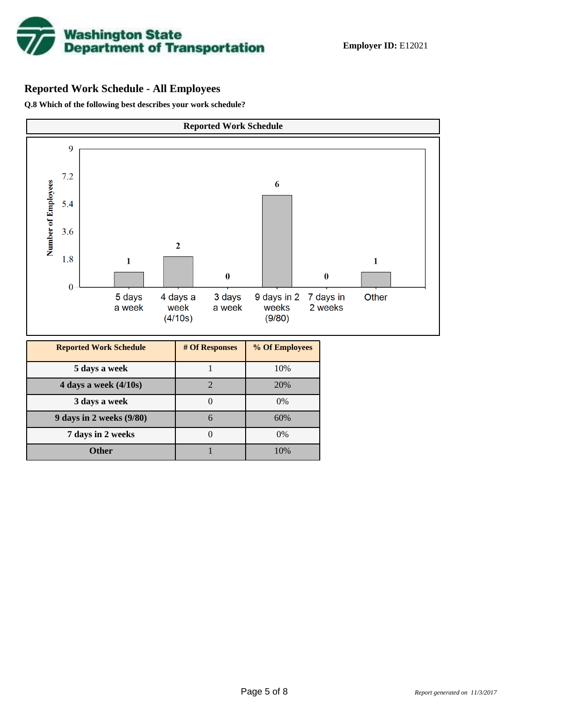

## **Reported Work Schedule - All Employees**

**Q.8 Which of the following best describes your work schedule?**

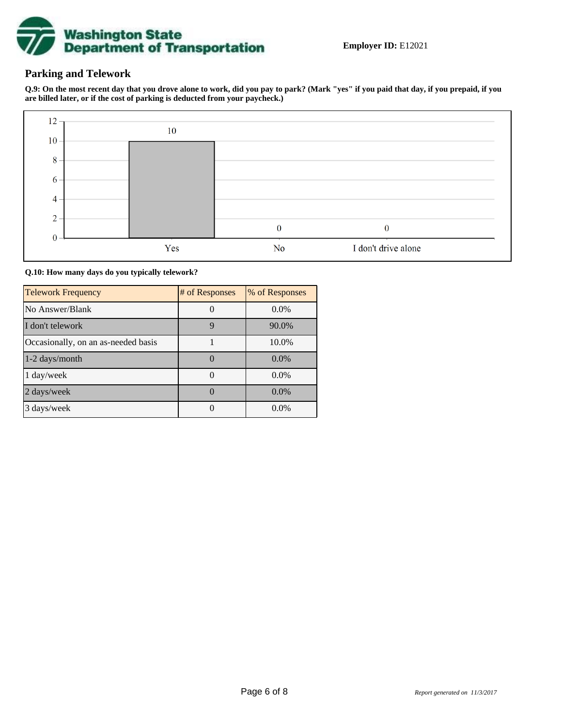

## **Parking and Telework**

**Q.9: On the most recent day that you drove alone to work, did you pay to park? (Mark "yes" if you paid that day, if you prepaid, if you are billed later, or if the cost of parking is deducted from your paycheck.)**



**Q.10: How many days do you typically telework?**

| <b>Telework Frequency</b>           | # of Responses | % of Responses |
|-------------------------------------|----------------|----------------|
| No Answer/Blank                     |                | $0.0\%$        |
| I don't telework                    | 9              | 90.0%          |
| Occasionally, on an as-needed basis |                | 10.0%          |
| 1-2 days/month                      |                | $0.0\%$        |
| 1 day/week                          |                | $0.0\%$        |
| 2 days/week                         |                | 0.0%           |
| 3 days/week                         |                | $0.0\%$        |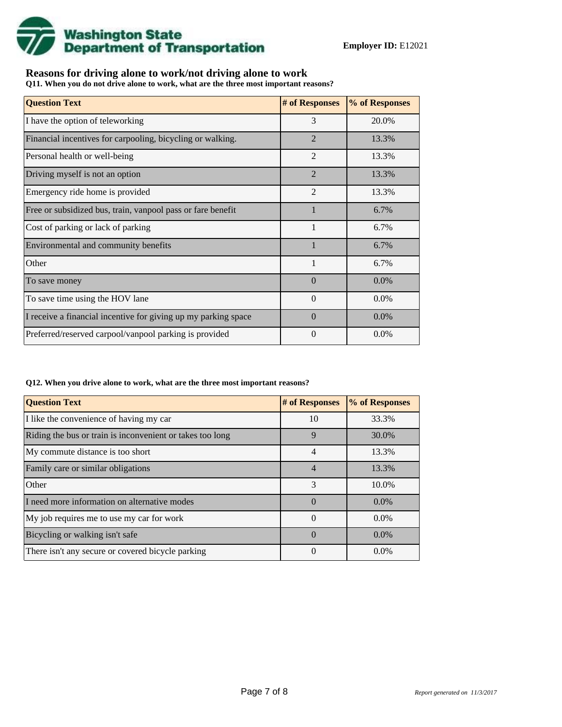

## **Reasons for driving alone to work/not driving alone to work**

**Q11. When you do not drive alone to work, what are the three most important reasons?**

| <b>Question Text</b>                                           | # of Responses | % of Responses |
|----------------------------------------------------------------|----------------|----------------|
| I have the option of teleworking                               | 3              | 20.0%          |
| Financial incentives for carpooling, bicycling or walking.     | $\overline{2}$ | 13.3%          |
| Personal health or well-being                                  | $\mathfrak{D}$ | 13.3%          |
| Driving myself is not an option                                | $\overline{2}$ | 13.3%          |
| Emergency ride home is provided                                | $\overline{2}$ | 13.3%          |
| Free or subsidized bus, train, vanpool pass or fare benefit    | 1              | 6.7%           |
| Cost of parking or lack of parking                             | $\mathbf{1}$   | 6.7%           |
| Environmental and community benefits                           |                | 6.7%           |
| Other                                                          | $\mathbf{1}$   | 6.7%           |
| To save money                                                  | $\Omega$       | $0.0\%$        |
| To save time using the HOV lane                                | $\theta$       | 0.0%           |
| I receive a financial incentive for giving up my parking space | $\Omega$       | $0.0\%$        |
| Preferred/reserved carpool/vanpool parking is provided         | $\Omega$       | $0.0\%$        |

#### **Q12. When you drive alone to work, what are the three most important reasons?**

| <b>Question Text</b>                                      | # of Responses | % of Responses |
|-----------------------------------------------------------|----------------|----------------|
| I like the convenience of having my car                   | 10             | 33.3%          |
| Riding the bus or train is inconvenient or takes too long | 9              | 30.0%          |
| My commute distance is too short                          | 4              | 13.3%          |
| Family care or similar obligations                        | $\overline{4}$ | 13.3%          |
| Other                                                     | 3              | 10.0%          |
| I need more information on alternative modes              | $\Omega$       | $0.0\%$        |
| My job requires me to use my car for work                 | $\Omega$       | $0.0\%$        |
| Bicycling or walking isn't safe                           | $\Omega$       | $0.0\%$        |
| There isn't any secure or covered bicycle parking         | $\theta$       | $0.0\%$        |